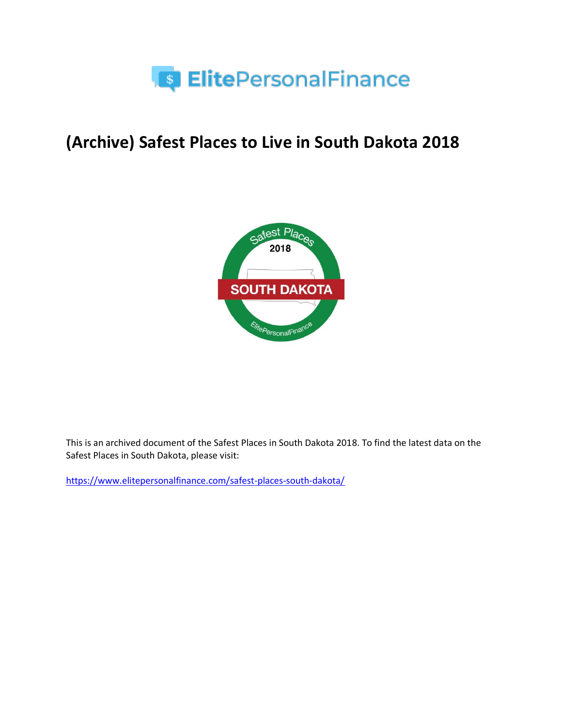

# **(Archive) Safest Places to Live in South Dakota 2018**



This is an archived document of the Safest Places in South Dakota 2018. To find the latest data on the Safest Places in South Dakota, please visit:

<https://www.elitepersonalfinance.com/safest-places-south-dakota/>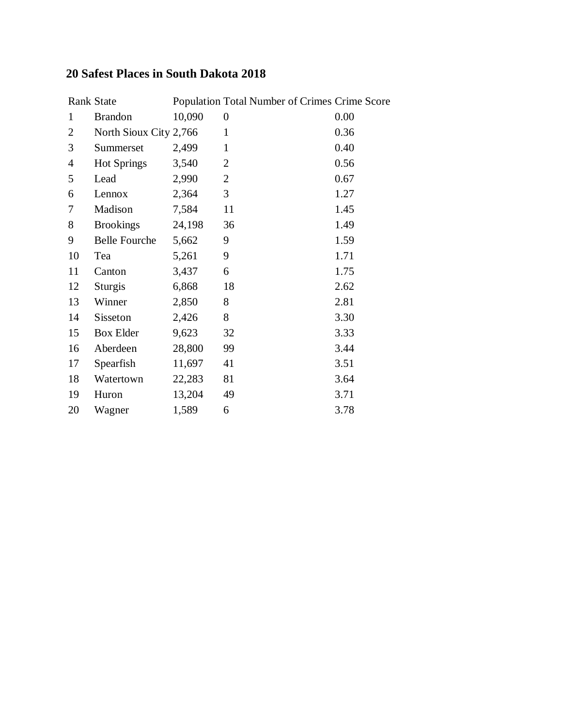### **20 Safest Places in South Dakota 2018**

|                | Rank State             |        | Population Total Number of Crimes Crime Score |      |
|----------------|------------------------|--------|-----------------------------------------------|------|
| $\mathbf{1}$   | <b>Brandon</b>         | 10,090 | $\boldsymbol{0}$                              | 0.00 |
| $\overline{2}$ | North Sioux City 2,766 |        | $\mathbf{1}$                                  | 0.36 |
| 3              | Summerset              | 2,499  | $\mathbf{1}$                                  | 0.40 |
| $\overline{4}$ | <b>Hot Springs</b>     | 3,540  | $\overline{2}$                                | 0.56 |
| 5              | Lead                   | 2,990  | $\overline{2}$                                | 0.67 |
| 6              | Lennox                 | 2,364  | 3                                             | 1.27 |
| 7              | Madison                | 7,584  | 11                                            | 1.45 |
| 8              | <b>Brookings</b>       | 24,198 | 36                                            | 1.49 |
| 9              | <b>Belle Fourche</b>   | 5,662  | 9                                             | 1.59 |
| 10             | Tea                    | 5,261  | 9                                             | 1.71 |
| 11             | Canton                 | 3,437  | 6                                             | 1.75 |
| 12             | <b>Sturgis</b>         | 6,868  | 18                                            | 2.62 |
| 13             | Winner                 | 2,850  | 8                                             | 2.81 |
| 14             | Sisseton               | 2,426  | 8                                             | 3.30 |
| 15             | <b>Box Elder</b>       | 9,623  | 32                                            | 3.33 |
| 16             | Aberdeen               | 28,800 | 99                                            | 3.44 |
| 17             | Spearfish              | 11,697 | 41                                            | 3.51 |
| 18             | Watertown              | 22,283 | 81                                            | 3.64 |
| 19             | Huron                  | 13,204 | 49                                            | 3.71 |
| 20             | Wagner                 | 1,589  | 6                                             | 3.78 |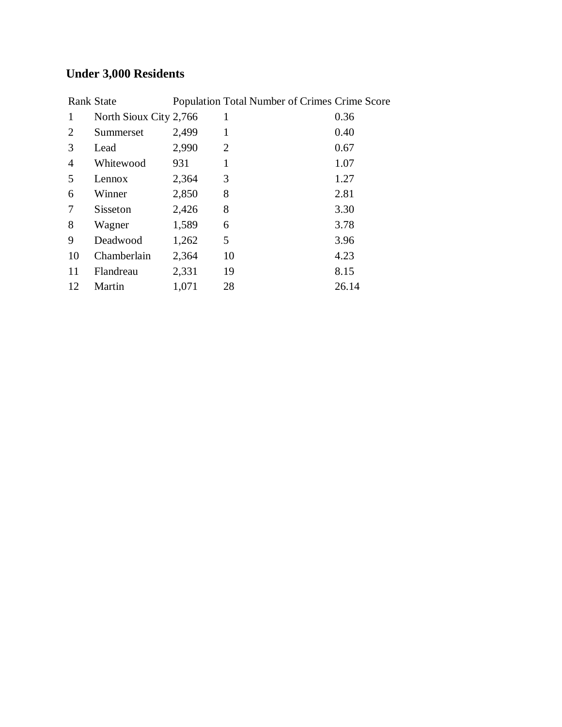## **Under 3,000 Residents**

|    | <b>Rank State</b>      |       | Population Total Number of Crimes Crime Score |       |
|----|------------------------|-------|-----------------------------------------------|-------|
| 1  | North Sioux City 2,766 |       | 1                                             | 0.36  |
| 2  | Summerset              | 2,499 | 1                                             | 0.40  |
| 3  | Lead                   | 2,990 | 2                                             | 0.67  |
| 4  | Whitewood              | 931   | 1                                             | 1.07  |
| 5  | Lennox                 | 2,364 | 3                                             | 1.27  |
| 6  | Winner                 | 2,850 | 8                                             | 2.81  |
| 7  | Sisseton               | 2,426 | 8                                             | 3.30  |
| 8  | Wagner                 | 1,589 | 6                                             | 3.78  |
| 9  | Deadwood               | 1,262 | 5                                             | 3.96  |
| 10 | Chamberlain            | 2,364 | 10                                            | 4.23  |
| 11 | Flandreau              | 2,331 | 19                                            | 8.15  |
| 12 | Martin                 | 1,071 | 28                                            | 26.14 |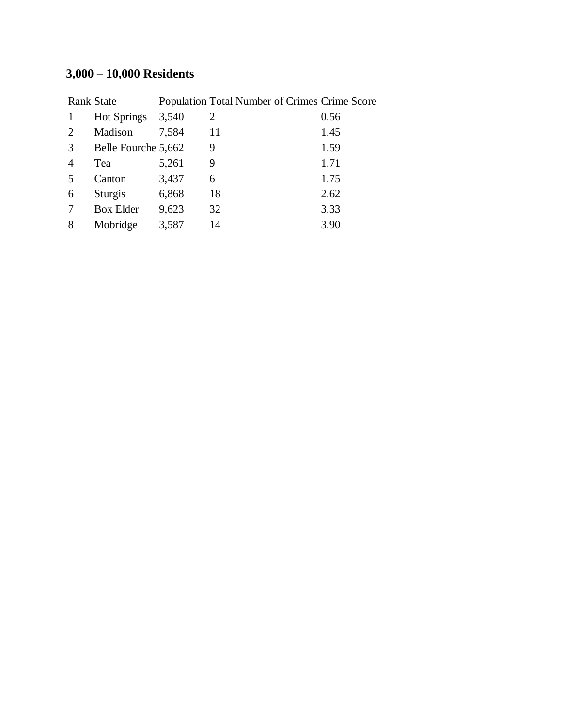## **3,000 – 10,000 Residents**

|   | <b>Rank State</b>   |       | Population Total Number of Crimes Crime Score |      |
|---|---------------------|-------|-----------------------------------------------|------|
|   | <b>Hot Springs</b>  | 3,540 | 2                                             | 0.56 |
| 2 | Madison             | 7,584 | 11                                            | 1.45 |
| 3 | Belle Fourche 5,662 |       | 9                                             | 1.59 |
| 4 | Tea                 | 5,261 | 9                                             | 1.71 |
| 5 | Canton              | 3,437 | 6                                             | 1.75 |
| 6 | Sturgis             | 6,868 | 18                                            | 2.62 |
| 7 | <b>Box Elder</b>    | 9,623 | 32                                            | 3.33 |
| 8 | Mobridge            | 3,587 | 14                                            | 3.90 |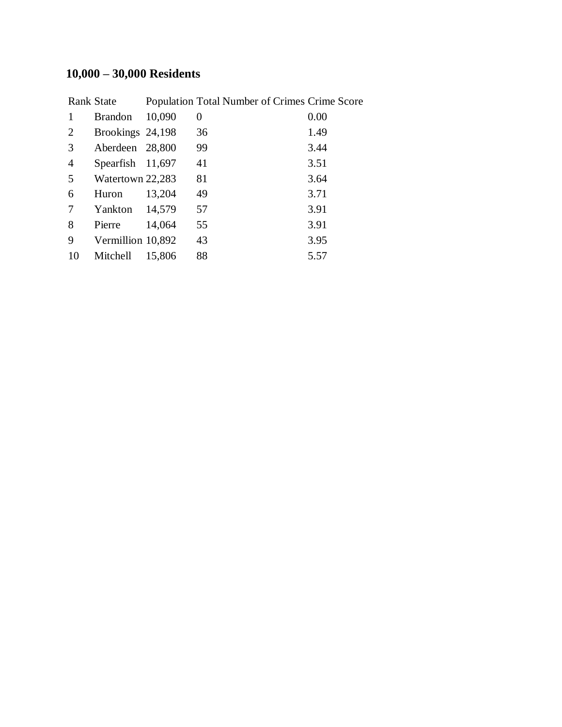## **10,000 – 30,000 Residents**

|                | Rank State        |        | Population Total Number of Crimes Crime Score |      |
|----------------|-------------------|--------|-----------------------------------------------|------|
| 1              | <b>Brandon</b>    | 10,090 | 0                                             | 0.00 |
| 2              | Brookings 24,198  |        | 36                                            | 1.49 |
| 3              | Aberdeen 28,800   |        | 99                                            | 3.44 |
| $\overline{4}$ | Spearfish 11,697  |        | 41                                            | 3.51 |
| 5              | Watertown 22,283  |        | 81                                            | 3.64 |
| 6              | Huron             | 13,204 | 49                                            | 3.71 |
| 7              | Yankton           | 14,579 | 57                                            | 3.91 |
| 8              | Pierre            | 14,064 | 55                                            | 3.91 |
| 9              | Vermillion 10,892 |        | 43                                            | 3.95 |
| 10             | Mitchell          | 15,806 | 88                                            | 5.57 |